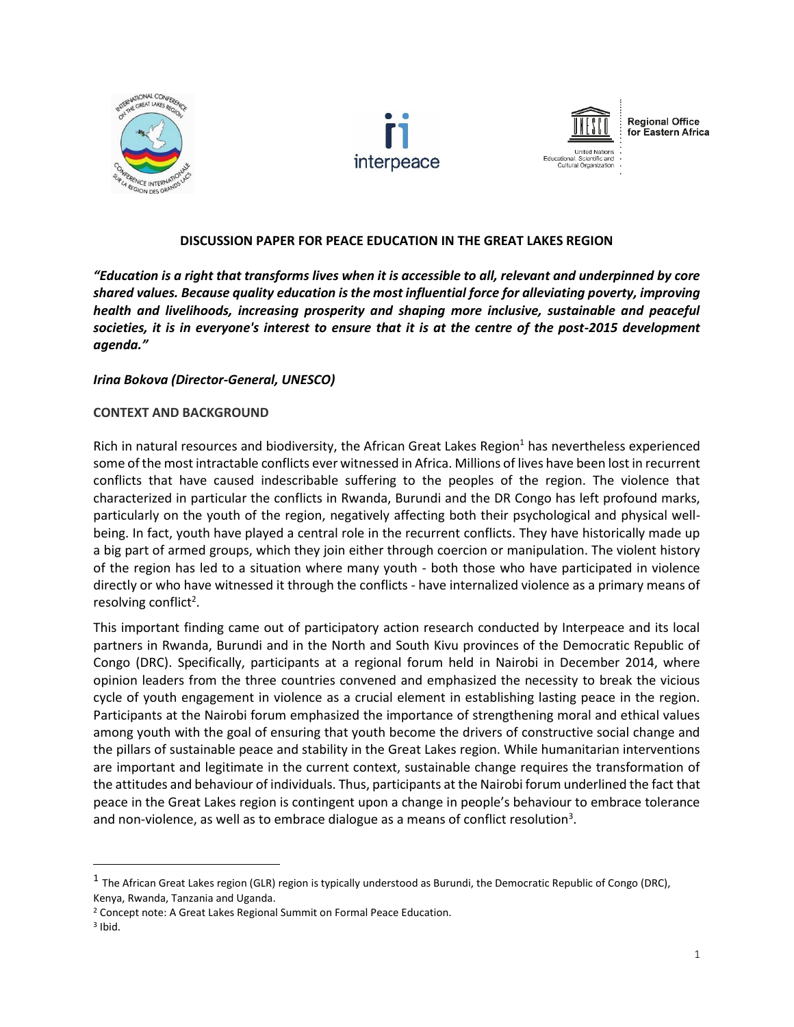





**Regional Office** for Eastern Africa

**DISCUSSION PAPER FOR PEACE EDUCATION IN THE GREAT LAKES REGION**

*"Education is a right that transforms lives when it is accessible to all, relevant and underpinned by core shared values. Because quality education is the most influential force for alleviating poverty, improving health and livelihoods, increasing prosperity and shaping more inclusive, sustainable and peaceful societies, it is in everyone's interest to ensure that it is at the centre of the post-2015 development agenda."*

## *Irina Bokova (Director-General, UNESCO)*

#### **CONTEXT AND BACKGROUND**

Rich in natural resources and biodiversity, the African Great Lakes Region<sup>1</sup> has nevertheless experienced some of the most intractable conflicts ever witnessed in Africa. Millions of lives have been lost in recurrent conflicts that have caused indescribable suffering to the peoples of the region. The violence that characterized in particular the conflicts in Rwanda, Burundi and the DR Congo has left profound marks, particularly on the youth of the region, negatively affecting both their psychological and physical wellbeing. In fact, youth have played a central role in the recurrent conflicts. They have historically made up a big part of armed groups, which they join either through coercion or manipulation. The violent history of the region has led to a situation where many youth - both those who have participated in violence directly or who have witnessed it through the conflicts - have internalized violence as a primary means of resolving conflict<sup>2</sup>.

This important finding came out of participatory action research conducted by Interpeace and its local partners in Rwanda, Burundi and in the North and South Kivu provinces of the Democratic Republic of Congo (DRC). Specifically, participants at a regional forum held in Nairobi in December 2014, where opinion leaders from the three countries convened and emphasized the necessity to break the vicious cycle of youth engagement in violence as a crucial element in establishing lasting peace in the region. Participants at the Nairobi forum emphasized the importance of strengthening moral and ethical values among youth with the goal of ensuring that youth become the drivers of constructive social change and the pillars of sustainable peace and stability in the Great Lakes region. While humanitarian interventions are important and legitimate in the current context, sustainable change requires the transformation of the attitudes and behaviour of individuals. Thus, participants at the Nairobi forum underlined the fact that peace in the Great Lakes region is contingent upon a change in people's behaviour to embrace tolerance and non-violence, as well as to embrace dialogue as a means of conflict resolution<sup>3</sup>.

 $^1$  The African Great Lakes region (GLR) region is typically understood as Burundi, the Democratic Republic of Congo (DRC), Kenya, Rwanda, Tanzania and Uganda.

<sup>2</sup> Concept note: A Great Lakes Regional Summit on Formal Peace Education.

<sup>3</sup> Ibid.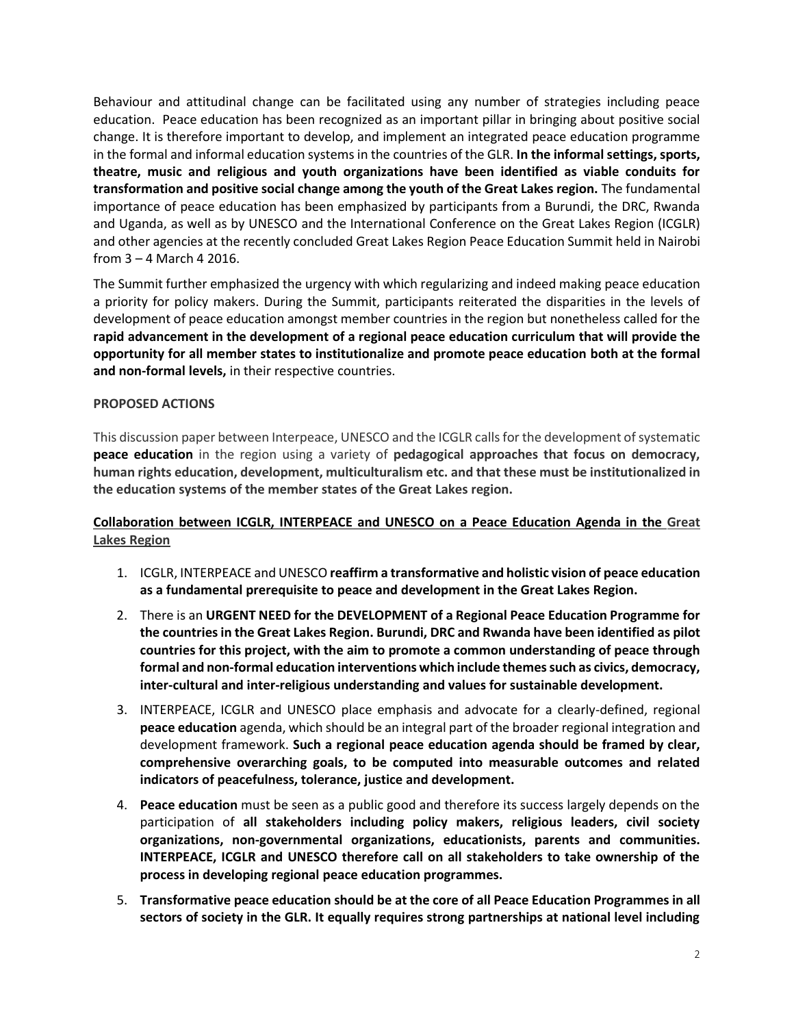Behaviour and attitudinal change can be facilitated using any number of strategies including peace education. Peace education has been recognized as an important pillar in bringing about positive social change. It is therefore important to develop, and implement an integrated peace education programme in the formal and informal education systems in the countries of the GLR. **In the informal settings, sports, theatre, music and religious and youth organizations have been identified as viable conduits for transformation and positive social change among the youth of the Great Lakes region.** The fundamental importance of peace education has been emphasized by participants from a Burundi, the DRC, Rwanda and Uganda, as well as by UNESCO and the International Conference on the Great Lakes Region (ICGLR) and other agencies at the recently concluded Great Lakes Region Peace Education Summit held in Nairobi from 3 – 4 March 4 2016.

The Summit further emphasized the urgency with which regularizing and indeed making peace education a priority for policy makers. During the Summit, participants reiterated the disparities in the levels of development of peace education amongst member countries in the region but nonetheless called for the **rapid advancement in the development of a regional peace education curriculum that will provide the opportunity for all member states to institutionalize and promote peace education both at the formal and non-formal levels,** in their respective countries.

# **PROPOSED ACTIONS**

This discussion paper between Interpeace, UNESCO and the ICGLR calls for the development of systematic **peace education** in the region using a variety of **pedagogical approaches that focus on democracy, human rights education, development, multiculturalism etc. and that these must be institutionalized in the education systems of the member states of the Great Lakes region.**

# **Collaboration between ICGLR, INTERPEACE and UNESCO on a Peace Education Agenda in the Great Lakes Region**

- 1. ICGLR, INTERPEACE and UNESCO **reaffirm a transformative and holistic vision of peace education as a fundamental prerequisite to peace and development in the Great Lakes Region.**
- 2. There is an **URGENT NEED for the DEVELOPMENT of a Regional Peace Education Programme for the countries in the Great Lakes Region. Burundi, DRC and Rwanda have been identified as pilot countries for this project, with the aim to promote a common understanding of peace through formal and non-formal education interventions which include themes such as civics, democracy, inter-cultural and inter-religious understanding and values for sustainable development.**
- 3. INTERPEACE, ICGLR and UNESCO place emphasis and advocate for a clearly-defined, regional **peace education** agenda, which should be an integral part of the broader regional integration and development framework. **Such a regional peace education agenda should be framed by clear, comprehensive overarching goals, to be computed into measurable outcomes and related indicators of peacefulness, tolerance, justice and development.**
- 4. **Peace education** must be seen as a public good and therefore its success largely depends on the participation of **all stakeholders including policy makers, religious leaders, civil society organizations, non-governmental organizations, educationists, parents and communities. INTERPEACE, ICGLR and UNESCO therefore call on all stakeholders to take ownership of the process in developing regional peace education programmes.**
- 5. **Transformative peace education should be at the core of all Peace Education Programmes in all sectors of society in the GLR. It equally requires strong partnerships at national level including**